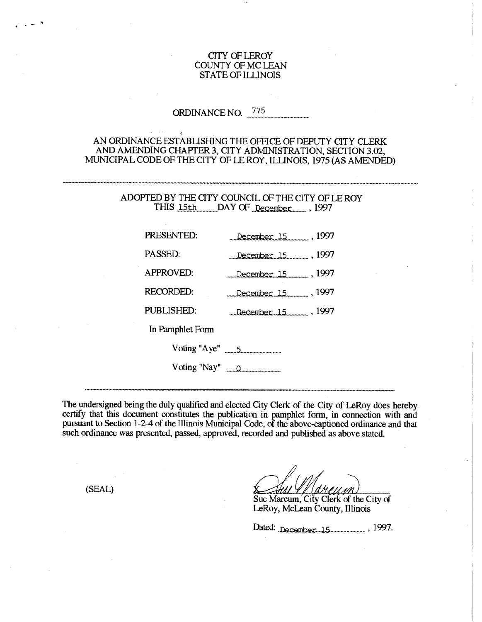## CITY OF LEROY COUNTY OF MC LEAN STATE OF ILLINOIS

# ORDINANCE NO. 775

# AN ORDINANCE ESTABLISHING THE OFFICE OF DEPUTY CITY CLERK AND AMENDING CHAPTER 3, CITY ADMINISTRATION, SECTION 3.02, MUNICIPAL CODE OF THE CITY OF LE ROY, ILLINOIS, 1975 (AS AMENDED)

## ADOPTED BY THE CITY COUNCIL OF THE CITY OF LE ROY THIS 15th DAY OF December , 1997

| PRESENTED:       | December 15 1997           |
|------------------|----------------------------|
| PASSED:          |                            |
| <b>APPROVED:</b> | December 15 1997           |
| <b>RECORDED:</b> | December 15 1997           |
| PUBLISHED:       | December 15 1997           |
| In Pamphlet Form |                            |
|                  | Voting "Aye" $\frac{5}{2}$ |
|                  | Voting "Nay" <u>0</u>      |

The undersigned being the duly qualified and elected City Clerk of the City of LeRoy does hereby. certify that this document constitutes the publication in pamphlet form, in connection with and pursuant to Section 1-2-4 of the Illinois Municipal Code, of the above-captioned ordinance and that such ordinance was presented, passed, approved, recorded and published as above stated.

(SEAL)

Sue Marcum, City Clerk of the City of LeRoy, McLean County, Illinois

Dated: .December ... 1.5 ........................ , 1997-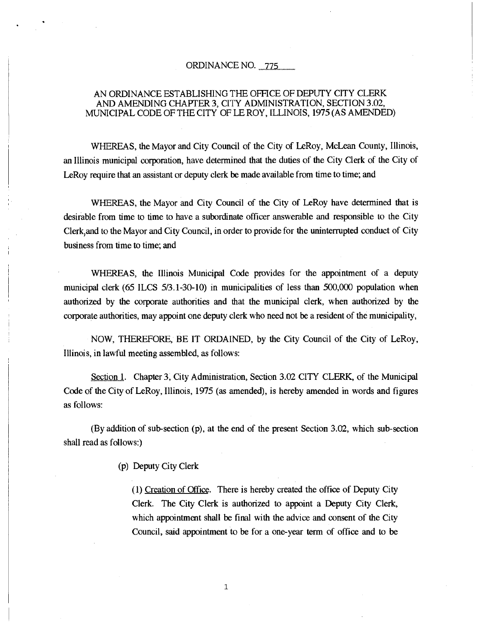## ORDINANCE NO. 775

## AN ORDINANCE ESTABLISHING THE OFFICE OF DEPUTY CITY CLERK AND AMENDING CHAPTER 3, CITY ADMINISTRATION, SECTION 3.02, MUNICIPAL CODE OF THE CITY OF LE ROY, ILLINOIS, 1975 (AS AMENDED)

WHEREAS, the Mayor and City Council of the City of LeRoy, McLean County, Illinois, an Illinois municipal corporation, have determined that the duties of the City Clerk of the City of LeRoy require that an assistant or deputy clerk be made available from time to time; and

WHEREAS, the Mayor and City Council of the City of LeRoy have determined that is desirable from time to time to have a subordinate officer answerable and responsible to the City Clerk,and to the Mayor and City Council, in order to provide for the uninterrupted conduct of City business from time to time; and

WHEREAS, the Illinois Municipal Code provides for the appointment of a deputy municipal clerk (65 ILCS 5/3.1-30-10) in municipalities of less than 500,000 population when authorized by the corporate authorities and that the municipal clerk, when authorized by the corporate authorities, may appoint one deputy clerk who need not be a resident of the municipality,

NOW, THEREFORE, BE IT ORDAINED, by the City Council of the City of LeRoy, Illinois, in lawful meeting assembled, as follows:

Section 1. Chapter 3; City Administration, Section 3.02 CITY CLERK, of the Municipal Code of the City of LeRoy, Illinois, 1975 (as amended), is hereby amended in words and figures as follows:

(By addition of sub-section (p), at the end of the present Section 3.02, which sub-section shall read as follows:)

(p) Deputy City Clerk

(1) Creation of Office. There is hereby created the office of Deputy City Clerk. The City Clerk is authorized to appoint a Deputy City Clerk, which appointment shall be final with the advice and consent of the City Council, said appointment to be for a one-year term of office and to be

1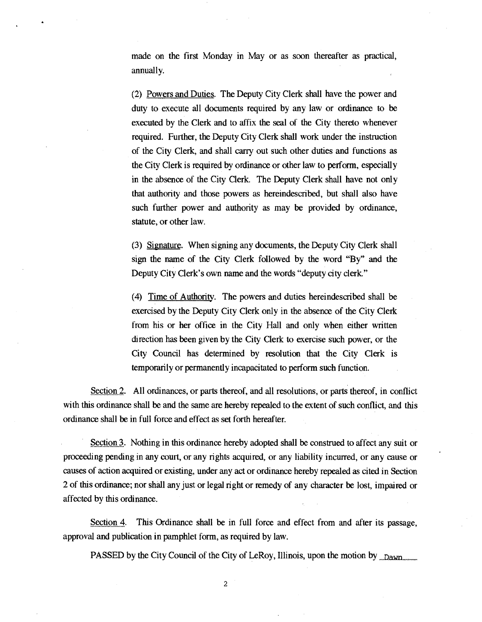made on the first Monday in May or as soon thereafter as practical, annually.

(2) Powers and Duties. The Deputy City Clerk shall have the power and duty to execute all documents required by any law or ordinance to be executed by the Clerk and to affix the seal of the City thereto whenever required. Further, the Deputy City Clerk shall work under the instruction of the City Clerk, and shall carry out such other duties and functions as the City Clerk is required by ordinance or other law to perform, especially in the absence of the City Clerk. The Deputy Clerk shall have not only that authority and those powers as hereindescribed, but shall also have such further power and authority as may be provided by ordinance, statute, or other law.

(3) Signature. When signing any documents, the Deputy City Clerk shall sign the name of the City Clerk followed by the word "By" and the Deputy City Clerk's own name and the words "deputy city clerk."

(4) Time of Authority. The powers and duties hereindescribed shall be exercised by the Deputy City Clerk only in the absence of the City Clerk from his or her office in the City Hall and only when either written direction has been given by the City Clerk to exercise such power, or the City Council has determined by resolution that the City Clerk is temporarily or permanently incapacitated to perform such function.

Section 2. All ordinances, or parts thereof, and all resolutions, or parts thereof, in conflict with this ordinance shall be and the same are hereby repealed to the extent of such conflict, and this ordinance shall be in full force and effect as set forth hereafter.

Section 3. Nothing in this ordinance hereby adopted shall be construed to affect any suit or proceeding pending in any court, or any rights acquired, or any liability incurred, or any cause or causes of action acquired or existing, under any act or ordinance hereby repealed as cited in Section 2 of this ordinance; nor shall any just or legal right or remedy of any character be lost, impaired or affected by this ordinance.

Section 4. This Ordinance shall be in full force and effect from and after its passage, approval and publication in pamphlet form, as required by law.

PASSED by the City Council of the City of LeRoy, Illinois, upon the motion by  $\Delta_{\text{Dawn}}$ 

2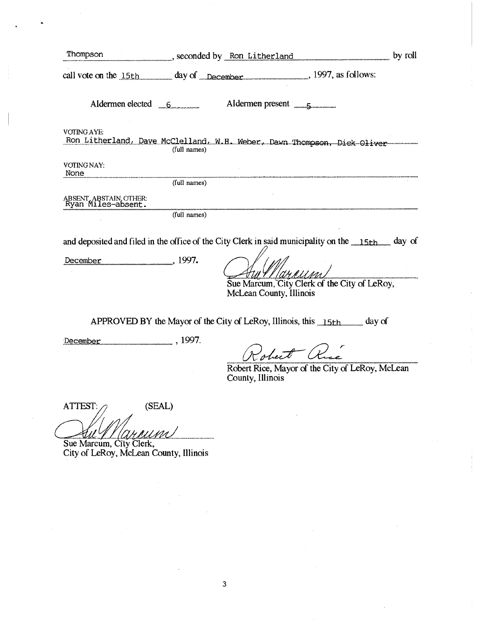| call vote on the 15th day of December 1997, as follows:<br>Aldermen elected 6<br><b>VOTING AYE:</b><br>Ron Litherland, Dave McClelland, N.H. Weber, Dawn Thompson, Dick Oliver<br>(full names)<br>VOTING NAY:<br>None<br>(full names)<br>and deposited and filed in the office of the City Clerk in said municipality on the <i>manuformal</i> day of<br>December 1997.<br>Sue Marcum, City Clerk of the City of LeRoy,<br>McLean County, Illinois<br>APPROVED BY the Mayor of the City of LeRoy, Illinois, this 15th day of<br>December 1997.<br>Robert R.<br>Robert Rice, Mayor of the City of LeRoy, McLean<br>County, Illinois<br><b>ATTEST:</b><br>(SEAL)<br>Sue Marcum, City Clerk,<br>City of LeRoy, McLean County, Illinois | Thompson seconded by Ron Litherland | by roll |
|-------------------------------------------------------------------------------------------------------------------------------------------------------------------------------------------------------------------------------------------------------------------------------------------------------------------------------------------------------------------------------------------------------------------------------------------------------------------------------------------------------------------------------------------------------------------------------------------------------------------------------------------------------------------------------------------------------------------------------------|-------------------------------------|---------|
|                                                                                                                                                                                                                                                                                                                                                                                                                                                                                                                                                                                                                                                                                                                                     |                                     |         |
|                                                                                                                                                                                                                                                                                                                                                                                                                                                                                                                                                                                                                                                                                                                                     |                                     |         |
|                                                                                                                                                                                                                                                                                                                                                                                                                                                                                                                                                                                                                                                                                                                                     |                                     |         |
|                                                                                                                                                                                                                                                                                                                                                                                                                                                                                                                                                                                                                                                                                                                                     |                                     |         |
|                                                                                                                                                                                                                                                                                                                                                                                                                                                                                                                                                                                                                                                                                                                                     |                                     |         |
|                                                                                                                                                                                                                                                                                                                                                                                                                                                                                                                                                                                                                                                                                                                                     |                                     |         |
|                                                                                                                                                                                                                                                                                                                                                                                                                                                                                                                                                                                                                                                                                                                                     |                                     |         |
|                                                                                                                                                                                                                                                                                                                                                                                                                                                                                                                                                                                                                                                                                                                                     |                                     |         |
|                                                                                                                                                                                                                                                                                                                                                                                                                                                                                                                                                                                                                                                                                                                                     |                                     |         |
|                                                                                                                                                                                                                                                                                                                                                                                                                                                                                                                                                                                                                                                                                                                                     |                                     |         |
|                                                                                                                                                                                                                                                                                                                                                                                                                                                                                                                                                                                                                                                                                                                                     |                                     |         |
|                                                                                                                                                                                                                                                                                                                                                                                                                                                                                                                                                                                                                                                                                                                                     |                                     |         |
|                                                                                                                                                                                                                                                                                                                                                                                                                                                                                                                                                                                                                                                                                                                                     |                                     |         |
|                                                                                                                                                                                                                                                                                                                                                                                                                                                                                                                                                                                                                                                                                                                                     |                                     |         |

 $\frac{1}{4}$ 

 $\hat{\mathcal{A}}$ 

 $\overline{3}$ 

 $\hat{\mathcal{A}}$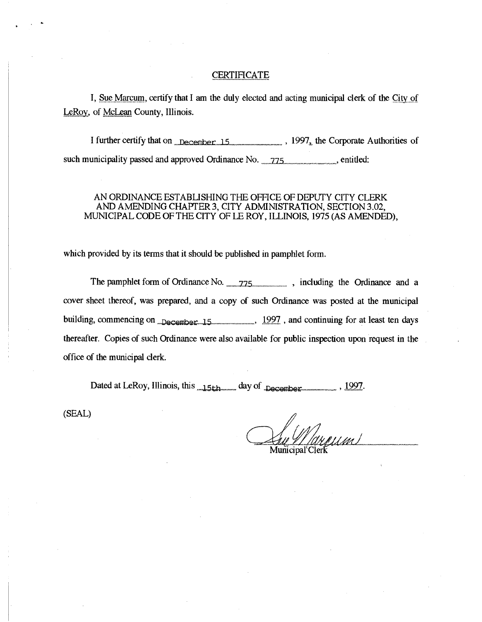## **CERTIFICATE**

I, Sue Marcum, certify that I am the duly elected and acting municipal clerk of the City of LeRoy, of McLean County, Illinois.

I further certify that on  $n_{\text{December}}$  15  $\ldots$  , 1997, the Corporate Authorities of such municipality passed and approved Ordinance No. 275

## AN ORDINANCE ESTABLISHING THE OFFICE OF DEPUTY CITY CLERK AND AMENDING CHAPTER 3, CITY ADMINISTRATION, SECTION 3.02, MUNICIPAL CODE OF THE CITY OF LE ROY, ILLINOIS, 1975 (AS AMENDED),

which provided by its terms that it should be published in pamphlet form.

The pamphlet form of Ordinance No. ---775..—.\_\_\_\_ , including the Ordinance and a cover sheet thereof, was prepared, and a copy of such Ordinance was posted at the municipal building, commencing on  $\Box$ December 15  $\Box$ , 1997, and continuing for at least ten days thereafter. Copies of such Ordinance were also available for public inspection upon request in the office of the municipal clerk.

Dated at LeRoy, Illinois, this <sub>*....*15th manual day of  $_{\text{Decomber}}$ , 1997.</sub>

(SEAL)

Municipal Clerk